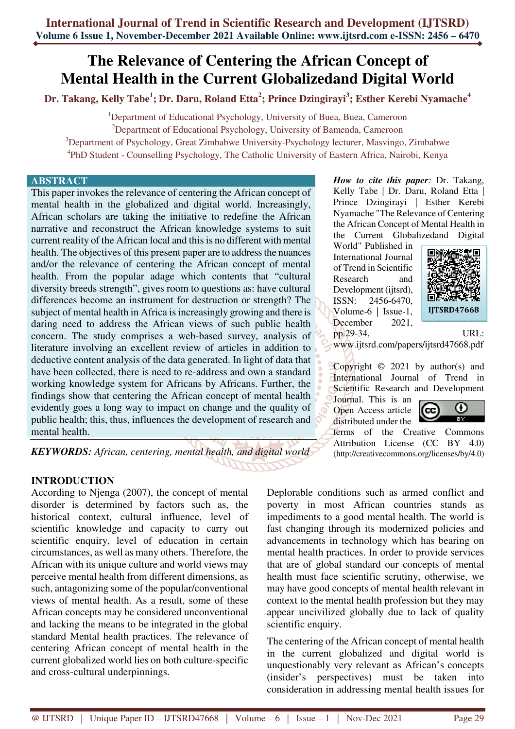# **The Relevance of Centering the African Concept of Mental Health in the Current Globalizedand Digital World**

**Dr. Takang, Kelly Tabe<sup>1</sup> ; Dr. Daru, Roland Etta<sup>2</sup> ; Prince Dzingirayi<sup>3</sup> ; Esther Kerebi Nyamache<sup>4</sup>**

<sup>1</sup>Department of Educational Psychology, University of Buea, Buea, Cameroon <sup>2</sup>Department of Educational Psychology, University of Bamenda, Cameroon <sup>3</sup>Department of Psychology, Great Zimbabwe University-Psychology lecturer, Masvingo, Zimbabwe 4 PhD Student - Counselling Psychology, The Catholic University of Eastern Africa, Nairobi, Kenya

#### **ABSTRACT**

This paper invokes the relevance of centering the African concept of mental health in the globalized and digital world. Increasingly, African scholars are taking the initiative to redefine the African narrative and reconstruct the African knowledge systems to suit current reality of the African local and this is no different with mental health. The objectives of this present paper are to address the nuances and/or the relevance of centering the African concept of mental health. From the popular adage which contents that "cultural diversity breeds strength", gives room to questions as: have cultural differences become an instrument for destruction or strength? The subject of mental health in Africa is increasingly growing and there is daring need to address the African views of such public health concern. The study comprises a web-based survey, analysis of literature involving an excellent review of articles in addition to deductive content analysis of the data generated. In light of data that have been collected, there is need to re-address and own a standard working knowledge system for Africans by Africans. Further, the findings show that centering the African concept of mental health evidently goes a long way to impact on change and the quality of public health; this, thus, influences the development of research and mental health.

*KEYWORDS: African, centering, mental health, and digital world* 

**INTRODUCTION** 

According to Njenga (2007), the concept of mental disorder is determined by factors such as, the historical context, cultural influence, level of scientific knowledge and capacity to carry out scientific enquiry, level of education in certain circumstances, as well as many others. Therefore, the African with its unique culture and world views may perceive mental health from different dimensions, as such, antagonizing some of the popular/conventional views of mental health. As a result, some of these African concepts may be considered unconventional and lacking the means to be integrated in the global standard Mental health practices. The relevance of centering African concept of mental health in the current globalized world lies on both culture-specific and cross-cultural underpinnings.

*How to cite this paper:* Dr. Takang, Kelly Tabe | Dr. Daru, Roland Etta | Prince Dzingirayi | Esther Kerebi Nyamache "The Relevance of Centering the African Concept of Mental Health in the Current Globalizedand Digital

World" Published in International Journal of Trend in Scientific Research and Development (ijtsrd), ISSN: 2456-6470, Volume-6 | Issue-1, December 2021,



pp.29-34, URL: www.ijtsrd.com/papers/ijtsrd47668.pdf

Copyright  $\odot$  2021 by author(s) and International Journal of Trend in Scientific Research and Development

Journal. This is an Open Access article distributed under the



terms of the Creative Commons Attribution License (CC BY 4.0) (http://creativecommons.org/licenses/by/4.0)

Deplorable conditions such as armed conflict and poverty in most African countries stands as impediments to a good mental health. The world is fast changing through its modernized policies and advancements in technology which has bearing on mental health practices. In order to provide services that are of global standard our concepts of mental health must face scientific scrutiny, otherwise, we may have good concepts of mental health relevant in context to the mental health profession but they may appear uncivilized globally due to lack of quality scientific enquiry.

The centering of the African concept of mental health in the current globalized and digital world is unquestionably very relevant as African's concepts (insider's perspectives) must be taken into consideration in addressing mental health issues for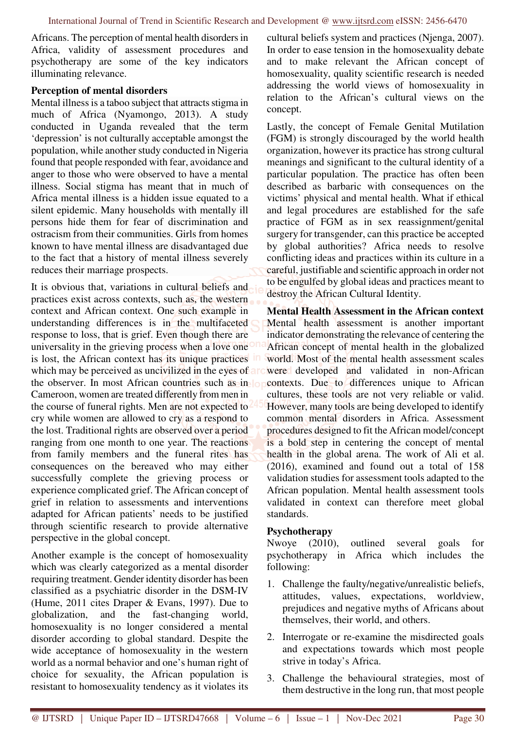Africans. The perception of mental health disorders in Africa, validity of assessment procedures and psychotherapy are some of the key indicators illuminating relevance.

#### **Perception of mental disorders**

Mental illness is a taboo subject that attracts stigma in much of Africa (Nyamongo, 2013). A study conducted in Uganda revealed that the term 'depression' is not culturally acceptable amongst the population, while another study conducted in Nigeria found that people responded with fear, avoidance and anger to those who were observed to have a mental illness. Social stigma has meant that in much of Africa mental illness is a hidden issue equated to a silent epidemic. Many households with mentally ill persons hide them for fear of discrimination and ostracism from their communities. Girls from homes known to have mental illness are disadvantaged due to the fact that a history of mental illness severely reduces their marriage prospects.

It is obvious that, variations in cultural beliefs and practices exist across contexts, such as, the western context and African context. One such example in understanding differences is in the multifaceted response to loss, that is grief. Even though there are universality in the grieving process when a love one is lost, the African context has its unique practices in which may be perceived as uncivilized in the eyes of and the observer. In most African countries such as in lot Cameroon, women are treated differently from men in the course of funeral rights. Men are not expected to cry while women are allowed to cry as a respond to the lost. Traditional rights are observed over a period ranging from one month to one year. The reactions from family members and the funeral rites has consequences on the bereaved who may either successfully complete the grieving process or experience complicated grief. The African concept of grief in relation to assessments and interventions adapted for African patients' needs to be justified through scientific research to provide alternative perspective in the global concept.

Another example is the concept of homosexuality which was clearly categorized as a mental disorder requiring treatment. Gender identity disorder has been classified as a psychiatric disorder in the DSM-IV (Hume, 2011 cites Draper & Evans, 1997). Due to globalization, and the fast-changing world, homosexuality is no longer considered a mental disorder according to global standard. Despite the wide acceptance of homosexuality in the western world as a normal behavior and one's human right of choice for sexuality, the African population is resistant to homosexuality tendency as it violates its

cultural beliefs system and practices (Njenga, 2007). In order to ease tension in the homosexuality debate and to make relevant the African concept of homosexuality, quality scientific research is needed addressing the world views of homosexuality in relation to the African's cultural views on the concept.

Lastly, the concept of Female Genital Mutilation (FGM) is strongly discouraged by the world health organization, however its practice has strong cultural meanings and significant to the cultural identity of a particular population. The practice has often been described as barbaric with consequences on the victims' physical and mental health. What if ethical and legal procedures are established for the safe practice of FGM as in sex reassignment/genital surgery for transgender, can this practice be accepted by global authorities? Africa needs to resolve conflicting ideas and practices within its culture in a careful, justifiable and scientific approach in order not to be engulfed by global ideas and practices meant to destroy the African Cultural Identity.

**Mental Health Assessment in the African context**  Mental health assessment is another important indicator demonstrating the relevance of centering the African concept of mental health in the globalized world. Most of the mental health assessment scales were developed and validated in non-African contexts. Due to differences unique to African cultures, these tools are not very reliable or valid. However, many tools are being developed to identify common mental disorders in Africa. Assessment procedures designed to fit the African model/concept is a bold step in centering the concept of mental health in the global arena. The work of Ali et al. (2016), examined and found out a total of 158 validation studies for assessment tools adapted to the African population. Mental health assessment tools validated in context can therefore meet global standards.

#### **Psychotherapy**

Nwoye (2010), outlined several goals for psychotherapy in Africa which includes the following:

- 1. Challenge the faulty/negative/unrealistic beliefs, attitudes, values, expectations, worldview, prejudices and negative myths of Africans about themselves, their world, and others.
- 2. Interrogate or re-examine the misdirected goals and expectations towards which most people strive in today's Africa.
- 3. Challenge the behavioural strategies, most of them destructive in the long run, that most people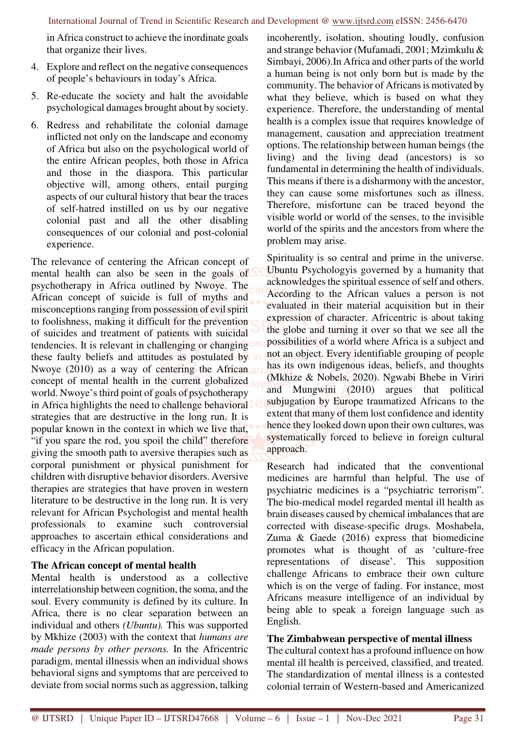in Africa construct to achieve the inordinate goals that organize their lives.

- 4. Explore and reflect on the negative consequences of people's behaviours in today's Africa.
- 5. Re-educate the society and halt the avoidable psychological damages brought about by society.
- 6. Redress and rehabilitate the colonial damage inflicted not only on the landscape and economy of Africa but also on the psychological world of the entire African peoples, both those in Africa and those in the diaspora. This particular objective will, among others, entail purging aspects of our cultural history that bear the traces of self-hatred instilled on us by our negative colonial past and all the other disabling consequences of our colonial and post-colonial experience.

The relevance of centering the African concept of mental health can also be seen in the goals of psychotherapy in Africa outlined by Nwoye. The African concept of suicide is full of myths and misconceptions ranging from possession of evil spirit to foolishness, making it difficult for the prevention of suicides and treatment of patients with suicidal tendencies. It is relevant in challenging or changing these faulty beliefs and attitudes as postulated by Nwoye (2010) as a way of centering the African concept of mental health in the current globalized world. Nwoye's third point of goals of psychotherapy in Africa highlights the need to challenge behavioral strategies that are destructive in the long run. It is popular known in the context in which we live that, "if you spare the rod, you spoil the child" therefore giving the smooth path to aversive therapies such as corporal punishment or physical punishment for children with disruptive behavior disorders. Aversive therapies are strategies that have proven in western literature to be destructive in the long run. It is very relevant for African Psychologist and mental health professionals to examine such controversial approaches to ascertain ethical considerations and efficacy in the African population.

# **The African concept of mental health**

Mental health is understood as a collective interrelationship between cognition, the soma, and the soul. Every community is defined by its culture. In Africa, there is no clear separation between an individual and others *(Ubuntu).* This was supported by Mkhize (2003) with the context that *humans are made persons by other persons.* In the Africentric paradigm, mental illnessis when an individual shows behavioral signs and symptoms that are perceived to deviate from social norms such as aggression, talking incoherently, isolation, shouting loudly, confusion and strange behavior (Mufamadi, 2001; Mzimkulu & Simbayi, 2006).In Africa and other parts of the world a human being is not only born but is made by the community. The behavior of Africans is motivated by what they believe, which is based on what they experience. Therefore, the understanding of mental health is a complex issue that requires knowledge of management, causation and appreciation treatment options. The relationship between human beings (the living) and the living dead (ancestors) is so fundamental in determining the health of individuals. This means if there is a disharmony with the ancestor, they can cause some misfortunes such as illness. Therefore, misfortune can be traced beyond the visible world or world of the senses, to the invisible world of the spirits and the ancestors from where the problem may arise.

Spirituality is so central and prime in the universe. Ubuntu Psychologyis governed by a humanity that acknowledges the spiritual essence of self and others. According to the African values a person is not evaluated in their material acquisition but in their expression of character. Africentric is about taking the globe and turning it over so that we see all the possibilities of a world where Africa is a subject and not an object. Every identifiable grouping of people has its own indigenous ideas, beliefs, and thoughts (Mkhize & Nobels, 2020). Ngwabi Bhebe in Viriri and Mungwini (2010) argues that political subjugation by Europe traumatized Africans to the extent that many of them lost confidence and identity hence they looked down upon their own cultures, was systematically forced to believe in foreign cultural approach.

Research had indicated that the conventional medicines are harmful than helpful. The use of psychiatric medicines is a "psychiatric terrorism". The bio-medical model regarded mental ill health as brain diseases caused by chemical imbalances that are corrected with disease-specific drugs. Moshabela, Zuma & Gaede (2016) express that biomedicine promotes what is thought of as 'culture-free representations of disease'. This supposition challenge Africans to embrace their own culture which is on the verge of fading. For instance, most Africans measure intelligence of an individual by being able to speak a foreign language such as English.

### **The Zimbabwean perspective of mental illness**

The cultural context has a profound influence on how mental ill health is perceived, classified, and treated. The standardization of mental illness is a contested colonial terrain of Western-based and Americanized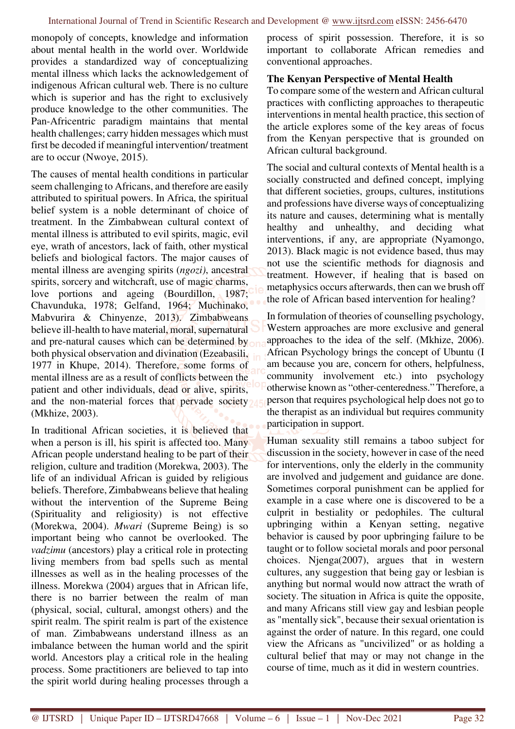monopoly of concepts, knowledge and information about mental health in the world over. Worldwide provides a standardized way of conceptualizing mental illness which lacks the acknowledgement of indigenous African cultural web. There is no culture which is superior and has the right to exclusively produce knowledge to the other communities. The Pan-Africentric paradigm maintains that mental health challenges; carry hidden messages which must first be decoded if meaningful intervention/ treatment are to occur (Nwoye, 2015).

The causes of mental health conditions in particular seem challenging to Africans, and therefore are easily attributed to spiritual powers. In Africa, the spiritual belief system is a noble determinant of choice of treatment. In the Zimbabwean cultural context of mental illness is attributed to evil spirits, magic, evil eye, wrath of ancestors, lack of faith, other mystical beliefs and biological factors. The major causes of mental illness are avenging spirits (*ngozi)*, ancestral spirits, sorcery and witchcraft, use of magic charms, love portions and ageing (Bourdillon, 1987; Chavunduka, 1978; Gelfand, 1964; Muchinako, Mabvurira & Chinyenze, 2013). Zimbabweans believe ill-health to have material, moral, supernatural and pre-natural causes which can be determined by both physical observation and divination (Ezeabasili, 1977 in Khupe, 2014). Therefore, some forms of mental illness are as a result of conflicts between the patient and other individuals, dead or alive, spirits, and the non-material forces that pervade society (Mkhize, 2003).

In traditional African societies, it is believed that when a person is ill, his spirit is affected too. Many African people understand healing to be part of their religion, culture and tradition (Morekwa, 2003). The life of an individual African is guided by religious beliefs. Therefore, Zimbabweans believe that healing without the intervention of the Supreme Being (Spirituality and religiosity) is not effective (Morekwa, 2004). *Mwari* (Supreme Being) is so important being who cannot be overlooked. The *vadzimu* (ancestors) play a critical role in protecting living members from bad spells such as mental illnesses as well as in the healing processes of the illness. Morekwa (2004) argues that in African life, there is no barrier between the realm of man (physical, social, cultural, amongst others) and the spirit realm. The spirit realm is part of the existence of man. Zimbabweans understand illness as an imbalance between the human world and the spirit world. Ancestors play a critical role in the healing process. Some practitioners are believed to tap into the spirit world during healing processes through a

process of spirit possession. Therefore, it is so important to collaborate African remedies and conventional approaches.

#### **The Kenyan Perspective of Mental Health**

To compare some of the western and African cultural practices with conflicting approaches to therapeutic interventions in mental health practice, this section of the article explores some of the key areas of focus from the Kenyan perspective that is grounded on African cultural background.

The social and cultural contexts of Mental health is a socially constructed and defined concept, implying that different societies, groups, cultures, institutions and professions have diverse ways of conceptualizing its nature and causes, determining what is mentally healthy and unhealthy, and deciding what interventions, if any, are appropriate (Nyamongo, 2013). Black magic is not evidence based, thus may not use the scientific methods for diagnosis and treatment. However, if healing that is based on metaphysics occurs afterwards, then can we brush off the role of African based intervention for healing?

In formulation of theories of counselling psychology, Western approaches are more exclusive and general approaches to the idea of the self. (Mkhize, 2006). African Psychology brings the concept of Ubuntu (I am because you are, concern for others, helpfulness, community involvement etc.) into psychology otherwise known as "other-centeredness." Therefore, a person that requires psychological help does not go to the therapist as an individual but requires community participation in support.

Human sexuality still remains a taboo subject for discussion in the society, however in case of the need for interventions, only the elderly in the community are involved and judgement and guidance are done. Sometimes corporal punishment can be applied for example in a case where one is discovered to be a culprit in bestiality or pedophiles. The cultural upbringing within a Kenyan setting, negative behavior is caused by poor upbringing failure to be taught or to follow societal morals and poor personal choices. Njenga(2007), argues that in western cultures, any suggestion that being gay or lesbian is anything but normal would now attract the wrath of society. The situation in Africa is quite the opposite, and many Africans still view gay and lesbian people as "mentally sick", because their sexual orientation is against the order of nature. In this regard, one could view the Africans as "uncivilized" or as holding a cultural belief that may or may not change in the course of time, much as it did in western countries.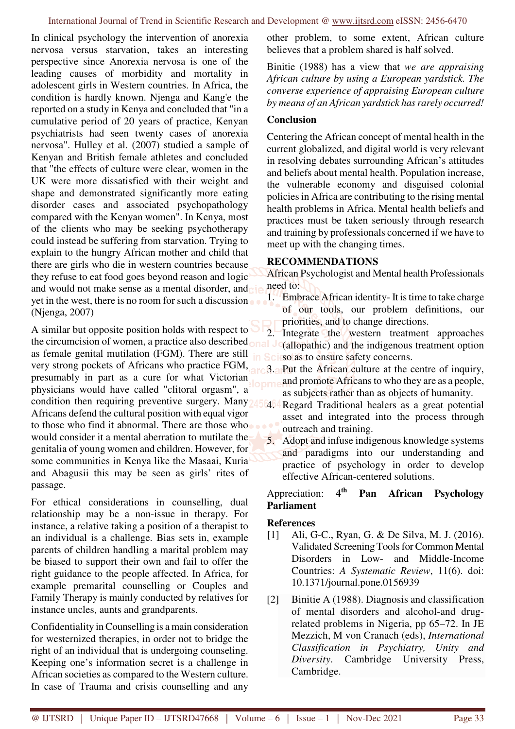In clinical psychology the intervention of anorexia nervosa versus starvation, takes an interesting perspective since Anorexia nervosa is one of the leading causes of morbidity and mortality in adolescent girls in Western countries. In Africa, the condition is hardly known. Njenga and Kang'e the reported on a study in Kenya and concluded that "in a cumulative period of 20 years of practice, Kenyan psychiatrists had seen twenty cases of anorexia nervosa". Hulley et al. (2007) studied a sample of Kenyan and British female athletes and concluded that "the effects of culture were clear, women in the UK were more dissatisfied with their weight and shape and demonstrated significantly more eating disorder cases and associated psychopathology compared with the Kenyan women". In Kenya, most of the clients who may be seeking psychotherapy could instead be suffering from starvation. Trying to explain to the hungry African mother and child that there are girls who die in western countries because they refuse to eat food goes beyond reason and logic and would not make sense as a mental disorder, and yet in the west, there is no room for such a discussion (Njenga, 2007)

A similar but opposite position holds with respect to the circumcision of women, a practice also described as female genital mutilation (FGM). There are still very strong pockets of Africans who practice FGM, presumably in part as a cure for what Victorian physicians would have called "clitoral orgasm", a condition then requiring preventive surgery. Many 2456464 Regard Traditional healers as a great potential Africans defend the cultural position with equal vigor to those who find it abnormal. There are those who would consider it a mental aberration to mutilate the genitalia of young women and children. However, for some communities in Kenya like the Masaai, Kuria and Abagusii this may be seen as girls' rites of passage.

For ethical considerations in counselling, dual relationship may be a non-issue in therapy. For instance, a relative taking a position of a therapist to an individual is a challenge. Bias sets in, example parents of children handling a marital problem may be biased to support their own and fail to offer the right guidance to the people affected. In Africa, for example premarital counselling or Couples and Family Therapy is mainly conducted by relatives for instance uncles, aunts and grandparents.

Confidentiality in Counselling is a main consideration for westernized therapies, in order not to bridge the right of an individual that is undergoing counseling. Keeping one's information secret is a challenge in African societies as compared to the Western culture. In case of Trauma and crisis counselling and any other problem, to some extent, African culture believes that a problem shared is half solved.

Binitie (1988) has a view that *we are appraising African culture by using a European yardstick. The converse experience of appraising European culture by means of an African yardstick has rarely occurred!*

# **Conclusion**

Centering the African concept of mental health in the current globalized, and digital world is very relevant in resolving debates surrounding African's attitudes and beliefs about mental health. Population increase, the vulnerable economy and disguised colonial policies in Africa are contributing to the rising mental health problems in Africa. Mental health beliefs and practices must be taken seriously through research and training by professionals concerned if we have to meet up with the changing times.

# **RECOMMENDATIONS**

African Psychologist and Mental health Professionals need to:

1. Embrace African identity- It is time to take charge of our tools, our problem definitions, our priorities, and to change directions.

 $2\frac{1}{2}$  Integrate the western treatment approaches (allopathic) and the indigenous treatment option Scisso as to ensure safety concerns.

- 3. Put the African culture at the centre of inquiry, and promote Africans to who they are as a people, as subjects rather than as objects of humanity.
- asset and integrated into the process through outreach and training.
- 5. Adopt and infuse indigenous knowledge systems and paradigms into our understanding and practice of psychology in order to develop effective African-centered solutions.

#### Appreciation: 4<sup>th</sup> **th Pan African Psychology Parliament**

# **References**

- [1] Ali, G-C., Ryan, G. & De Silva, M. J. (2016). Validated Screening Tools for Common Mental Disorders in Low- and Middle-Income Countries: *A Systematic Review*, 11(6). doi: 10.1371/journal.pone.0156939
- [2] Binitie A (1988). Diagnosis and classification of mental disorders and alcohol-and drugrelated problems in Nigeria, pp 65–72. In JE Mezzich, M von Cranach (eds), *International Classification in Psychiatry, Unity and Diversity*. Cambridge University Press, Cambridge.